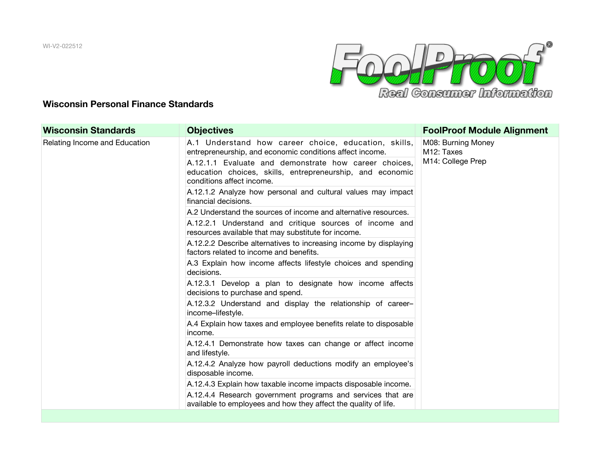WI-V2-022512



## **Wisconsin Personal Finance Standards**

| <b>Wisconsin Standards</b>    | <b>Objectives</b>                                                                                                                               | <b>FoolProof Module Alignment</b>                                  |
|-------------------------------|-------------------------------------------------------------------------------------------------------------------------------------------------|--------------------------------------------------------------------|
| Relating Income and Education | A.1 Understand how career choice, education, skills,<br>entrepreneurship, and economic conditions affect income.                                | M08: Burning Money<br>M <sub>12</sub> : Taxes<br>M14: College Prep |
|                               | A.12.1.1 Evaluate and demonstrate how career choices,<br>education choices, skills, entrepreneurship, and economic<br>conditions affect income. |                                                                    |
|                               | A.12.1.2 Analyze how personal and cultural values may impact<br>financial decisions.                                                            |                                                                    |
|                               | A.2 Understand the sources of income and alternative resources.                                                                                 |                                                                    |
|                               | A.12.2.1 Understand and critique sources of income and<br>resources available that may substitute for income.                                   |                                                                    |
|                               | A.12.2.2 Describe alternatives to increasing income by displaying<br>factors related to income and benefits.                                    |                                                                    |
|                               | A.3 Explain how income affects lifestyle choices and spending<br>decisions.                                                                     |                                                                    |
|                               | A.12.3.1 Develop a plan to designate how income affects<br>decisions to purchase and spend.                                                     |                                                                    |
|                               | A.12.3.2 Understand and display the relationship of career-<br>income-lifestyle.                                                                |                                                                    |
|                               | A.4 Explain how taxes and employee benefits relate to disposable<br>income.                                                                     |                                                                    |
|                               | A.12.4.1 Demonstrate how taxes can change or affect income<br>and lifestyle.                                                                    |                                                                    |
|                               | A.12.4.2 Analyze how payroll deductions modify an employee's<br>disposable income.                                                              |                                                                    |
|                               | A.12.4.3 Explain how taxable income impacts disposable income.                                                                                  |                                                                    |
|                               | A.12.4.4 Research government programs and services that are<br>available to employees and how they affect the quality of life.                  |                                                                    |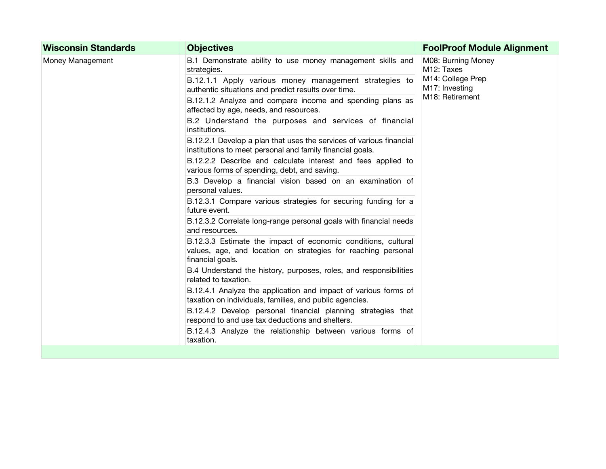| <b>Wisconsin Standards</b> | <b>Objectives</b>                                                                                                                                  | <b>FoolProof Module Alignment</b>                                                                       |
|----------------------------|----------------------------------------------------------------------------------------------------------------------------------------------------|---------------------------------------------------------------------------------------------------------|
| Money Management           | B.1 Demonstrate ability to use money management skills and<br>strategies.                                                                          | M08: Burning Money<br>M <sub>12</sub> : Taxes<br>M14: College Prep<br>M17: Investing<br>M18: Retirement |
|                            | B.12.1.1 Apply various money management strategies to<br>authentic situations and predict results over time.                                       |                                                                                                         |
|                            | B.12.1.2 Analyze and compare income and spending plans as<br>affected by age, needs, and resources.                                                |                                                                                                         |
|                            | B.2 Understand the purposes and services of financial<br>institutions.                                                                             |                                                                                                         |
|                            | B.12.2.1 Develop a plan that uses the services of various financial<br>institutions to meet personal and family financial goals.                   |                                                                                                         |
|                            | B.12.2.2 Describe and calculate interest and fees applied to<br>various forms of spending, debt, and saving.                                       |                                                                                                         |
|                            | B.3 Develop a financial vision based on an examination of<br>personal values.                                                                      |                                                                                                         |
|                            | B.12.3.1 Compare various strategies for securing funding for a<br>future event.                                                                    |                                                                                                         |
|                            | B.12.3.2 Correlate long-range personal goals with financial needs<br>and resources.                                                                |                                                                                                         |
|                            | B.12.3.3 Estimate the impact of economic conditions, cultural<br>values, age, and location on strategies for reaching personal<br>financial goals. |                                                                                                         |
|                            | B.4 Understand the history, purposes, roles, and responsibilities<br>related to taxation.                                                          |                                                                                                         |
|                            | B.12.4.1 Analyze the application and impact of various forms of<br>taxation on individuals, families, and public agencies.                         |                                                                                                         |
|                            | B.12.4.2 Develop personal financial planning strategies that<br>respond to and use tax deductions and shelters.                                    |                                                                                                         |
|                            | B.12.4.3 Analyze the relationship between various forms of<br>taxation.                                                                            |                                                                                                         |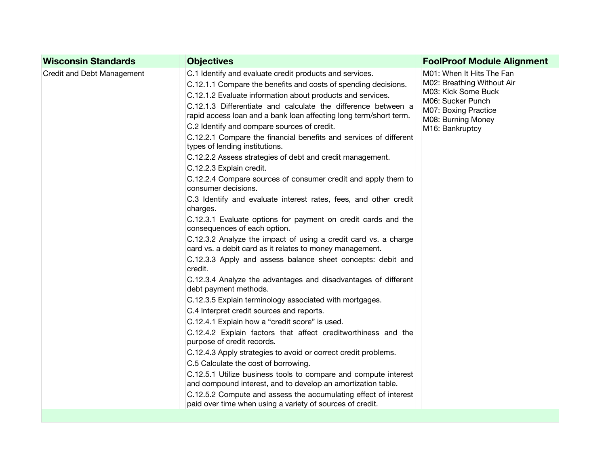| <b>Wisconsin Standards</b> | <b>Objectives</b>                                                                                                                                                                                                                                                                                                                                                                                                                                                                                                                                                                                                                                                                                                                                                                                                                                                                                                                                                                                                                                                                                                                                                                                                                                                                                                                                                                                                                                                                                                                                                                                                                                                                                                                  | <b>FoolProof Module Alignment</b>                                                                                                                                    |
|----------------------------|------------------------------------------------------------------------------------------------------------------------------------------------------------------------------------------------------------------------------------------------------------------------------------------------------------------------------------------------------------------------------------------------------------------------------------------------------------------------------------------------------------------------------------------------------------------------------------------------------------------------------------------------------------------------------------------------------------------------------------------------------------------------------------------------------------------------------------------------------------------------------------------------------------------------------------------------------------------------------------------------------------------------------------------------------------------------------------------------------------------------------------------------------------------------------------------------------------------------------------------------------------------------------------------------------------------------------------------------------------------------------------------------------------------------------------------------------------------------------------------------------------------------------------------------------------------------------------------------------------------------------------------------------------------------------------------------------------------------------------|----------------------------------------------------------------------------------------------------------------------------------------------------------------------|
| Credit and Debt Management | C.1 Identify and evaluate credit products and services.<br>C.12.1.1 Compare the benefits and costs of spending decisions.<br>C.12.1.2 Evaluate information about products and services.<br>C.12.1.3 Differentiate and calculate the difference between a<br>rapid access loan and a bank loan affecting long term/short term.<br>C.2 Identify and compare sources of credit.<br>C.12.2.1 Compare the financial benefits and services of different<br>types of lending institutions.<br>C.12.2.2 Assess strategies of debt and credit management.<br>C.12.2.3 Explain credit.<br>C.12.2.4 Compare sources of consumer credit and apply them to<br>consumer decisions.<br>C.3 Identify and evaluate interest rates, fees, and other credit<br>charges.<br>C.12.3.1 Evaluate options for payment on credit cards and the<br>consequences of each option.<br>C.12.3.2 Analyze the impact of using a credit card vs. a charge<br>card vs. a debit card as it relates to money management.<br>C.12.3.3 Apply and assess balance sheet concepts: debit and<br>credit.<br>C.12.3.4 Analyze the advantages and disadvantages of different<br>debt payment methods.<br>C.12.3.5 Explain terminology associated with mortgages.<br>C.4 Interpret credit sources and reports.<br>C.12.4.1 Explain how a "credit score" is used.<br>C.12.4.2 Explain factors that affect creditworthiness and the<br>purpose of credit records.<br>C.12.4.3 Apply strategies to avoid or correct credit problems.<br>C.5 Calculate the cost of borrowing.<br>C.12.5.1 Utilize business tools to compare and compute interest<br>and compound interest, and to develop an amortization table.<br>C.12.5.2 Compute and assess the accumulating effect of interest | M01: When It Hits The Fan<br>M02: Breathing Without Air<br>M03: Kick Some Buck<br>M06: Sucker Punch<br>M07: Boxing Practice<br>M08: Burning Money<br>M16: Bankruptcy |
|                            | paid over time when using a variety of sources of credit.                                                                                                                                                                                                                                                                                                                                                                                                                                                                                                                                                                                                                                                                                                                                                                                                                                                                                                                                                                                                                                                                                                                                                                                                                                                                                                                                                                                                                                                                                                                                                                                                                                                                          |                                                                                                                                                                      |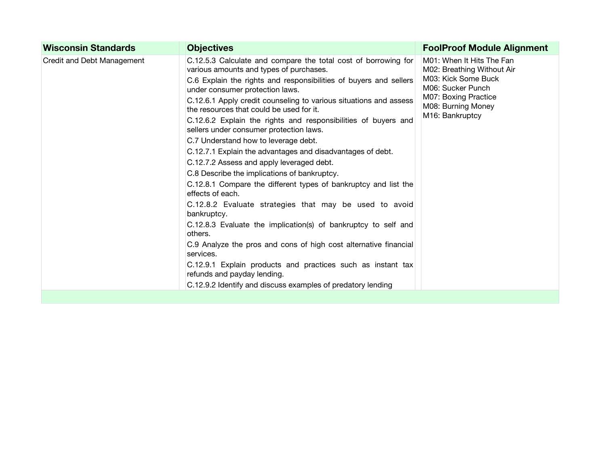| <b>Wisconsin Standards</b> | <b>Objectives</b>                                                                                                                                                                                                                                                                                                                                                                                                                                                                                                                                                                                                                                                                                                                                                                                                                                                                                                                                                                                                                                                                                                                             | <b>FoolProof Module Alignment</b>                                                                                                                                    |
|----------------------------|-----------------------------------------------------------------------------------------------------------------------------------------------------------------------------------------------------------------------------------------------------------------------------------------------------------------------------------------------------------------------------------------------------------------------------------------------------------------------------------------------------------------------------------------------------------------------------------------------------------------------------------------------------------------------------------------------------------------------------------------------------------------------------------------------------------------------------------------------------------------------------------------------------------------------------------------------------------------------------------------------------------------------------------------------------------------------------------------------------------------------------------------------|----------------------------------------------------------------------------------------------------------------------------------------------------------------------|
| Credit and Debt Management | C.12.5.3 Calculate and compare the total cost of borrowing for<br>various amounts and types of purchases.<br>C.6 Explain the rights and responsibilities of buyers and sellers<br>under consumer protection laws.<br>C.12.6.1 Apply credit counseling to various situations and assess<br>the resources that could be used for it.<br>C.12.6.2 Explain the rights and responsibilities of buyers and<br>sellers under consumer protection laws.<br>C.7 Understand how to leverage debt.<br>C.12.7.1 Explain the advantages and disadvantages of debt.<br>C.12.7.2 Assess and apply leveraged debt.<br>C.8 Describe the implications of bankruptcy.<br>C.12.8.1 Compare the different types of bankruptcy and list the<br>effects of each.<br>C.12.8.2 Evaluate strategies that may be used to avoid<br>bankruptcy.<br>C.12.8.3 Evaluate the implication(s) of bankruptcy to self and<br>others.<br>C.9 Analyze the pros and cons of high cost alternative financial<br>services.<br>C.12.9.1 Explain products and practices such as instant tax<br>refunds and payday lending.<br>C.12.9.2 Identify and discuss examples of predatory lending | M01: When It Hits The Fan<br>M02: Breathing Without Air<br>M03: Kick Some Buck<br>M06: Sucker Punch<br>M07: Boxing Practice<br>M08: Burning Money<br>M16: Bankruptcy |
|                            |                                                                                                                                                                                                                                                                                                                                                                                                                                                                                                                                                                                                                                                                                                                                                                                                                                                                                                                                                                                                                                                                                                                                               |                                                                                                                                                                      |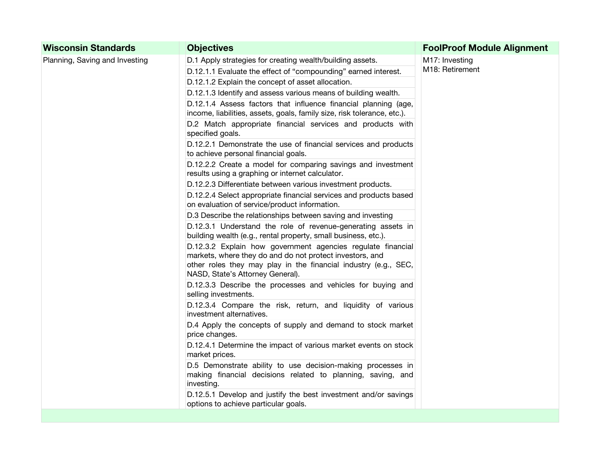| <b>Wisconsin Standards</b>     | <b>Objectives</b>                                                                                                                                                                                                              | <b>FoolProof Module Alignment</b> |
|--------------------------------|--------------------------------------------------------------------------------------------------------------------------------------------------------------------------------------------------------------------------------|-----------------------------------|
| Planning, Saving and Investing | D.1 Apply strategies for creating wealth/building assets.                                                                                                                                                                      | M17: Investing<br>M18: Retirement |
|                                | D.12.1.1 Evaluate the effect of "compounding" earned interest.                                                                                                                                                                 |                                   |
|                                | D.12.1.2 Explain the concept of asset allocation.                                                                                                                                                                              |                                   |
|                                | D.12.1.3 Identify and assess various means of building wealth.                                                                                                                                                                 |                                   |
|                                | D.12.1.4 Assess factors that influence financial planning (age,<br>income, liabilities, assets, goals, family size, risk tolerance, etc.).                                                                                     |                                   |
|                                | D.2 Match appropriate financial services and products with<br>specified goals.                                                                                                                                                 |                                   |
|                                | D.12.2.1 Demonstrate the use of financial services and products<br>to achieve personal financial goals.                                                                                                                        |                                   |
|                                | D.12.2.2 Create a model for comparing savings and investment<br>results using a graphing or internet calculator.                                                                                                               |                                   |
|                                | D.12.2.3 Differentiate between various investment products.                                                                                                                                                                    |                                   |
|                                | D.12.2.4 Select appropriate financial services and products based<br>on evaluation of service/product information.                                                                                                             |                                   |
|                                | D.3 Describe the relationships between saving and investing                                                                                                                                                                    |                                   |
|                                | D.12.3.1 Understand the role of revenue-generating assets in<br>building wealth (e.g., rental property, small business, etc.).                                                                                                 |                                   |
|                                | D.12.3.2 Explain how government agencies regulate financial<br>markets, where they do and do not protect investors, and<br>other roles they may play in the financial industry (e.g., SEC,<br>NASD, State's Attorney General). |                                   |
|                                | D.12.3.3 Describe the processes and vehicles for buying and<br>selling investments.                                                                                                                                            |                                   |
|                                | D.12.3.4 Compare the risk, return, and liquidity of various<br>investment alternatives.                                                                                                                                        |                                   |
|                                | D.4 Apply the concepts of supply and demand to stock market<br>price changes.                                                                                                                                                  |                                   |
|                                | D.12.4.1 Determine the impact of various market events on stock<br>market prices.                                                                                                                                              |                                   |
|                                | D.5 Demonstrate ability to use decision-making processes in<br>making financial decisions related to planning, saving, and<br>investing.                                                                                       |                                   |
|                                | D.12.5.1 Develop and justify the best investment and/or savings<br>options to achieve particular goals.                                                                                                                        |                                   |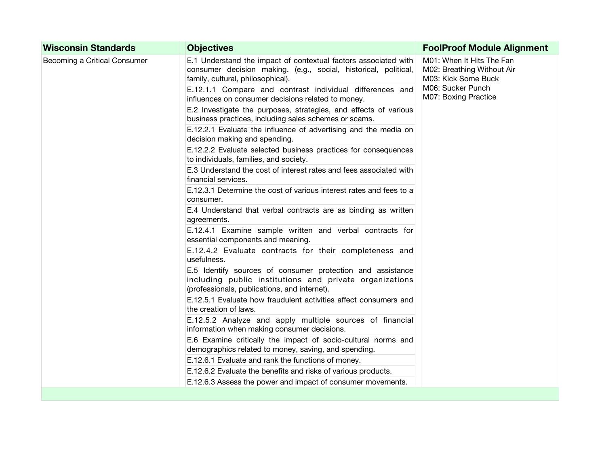| <b>Wisconsin Standards</b>   | <b>Objectives</b>                                                                                                                                                       | <b>FoolProof Module Alignment</b>                                                                                           |
|------------------------------|-------------------------------------------------------------------------------------------------------------------------------------------------------------------------|-----------------------------------------------------------------------------------------------------------------------------|
| Becoming a Critical Consumer | E.1 Understand the impact of contextual factors associated with<br>consumer decision making. (e.g., social, historical, political,<br>family, cultural, philosophical). | M01: When It Hits The Fan<br>M02: Breathing Without Air<br>M03: Kick Some Buck<br>M06: Sucker Punch<br>M07: Boxing Practice |
|                              | E.12.1.1 Compare and contrast individual differences and<br>influences on consumer decisions related to money.                                                          |                                                                                                                             |
|                              | E.2 Investigate the purposes, strategies, and effects of various<br>business practices, including sales schemes or scams.                                               |                                                                                                                             |
|                              | E.12.2.1 Evaluate the influence of advertising and the media on<br>decision making and spending.                                                                        |                                                                                                                             |
|                              | E.12.2.2 Evaluate selected business practices for consequences<br>to individuals, families, and society.                                                                |                                                                                                                             |
|                              | E.3 Understand the cost of interest rates and fees associated with<br>financial services.                                                                               |                                                                                                                             |
|                              | E.12.3.1 Determine the cost of various interest rates and fees to a<br>consumer.                                                                                        |                                                                                                                             |
|                              | E.4 Understand that verbal contracts are as binding as written<br>agreements.                                                                                           |                                                                                                                             |
|                              | E.12.4.1 Examine sample written and verbal contracts for<br>essential components and meaning.                                                                           |                                                                                                                             |
|                              | E.12.4.2 Evaluate contracts for their completeness and<br>usefulness.                                                                                                   |                                                                                                                             |
|                              | E.5 Identify sources of consumer protection and assistance<br>including public institutions and private organizations<br>(professionals, publications, and internet).   |                                                                                                                             |
|                              | E.12.5.1 Evaluate how fraudulent activities affect consumers and<br>the creation of laws.                                                                               |                                                                                                                             |
|                              | E.12.5.2 Analyze and apply multiple sources of financial<br>information when making consumer decisions.                                                                 |                                                                                                                             |
|                              | E.6 Examine critically the impact of socio-cultural norms and<br>demographics related to money, saving, and spending.                                                   |                                                                                                                             |
|                              | E.12.6.1 Evaluate and rank the functions of money.                                                                                                                      |                                                                                                                             |
|                              | E.12.6.2 Evaluate the benefits and risks of various products.                                                                                                           |                                                                                                                             |
|                              | E.12.6.3 Assess the power and impact of consumer movements.                                                                                                             |                                                                                                                             |
|                              |                                                                                                                                                                         |                                                                                                                             |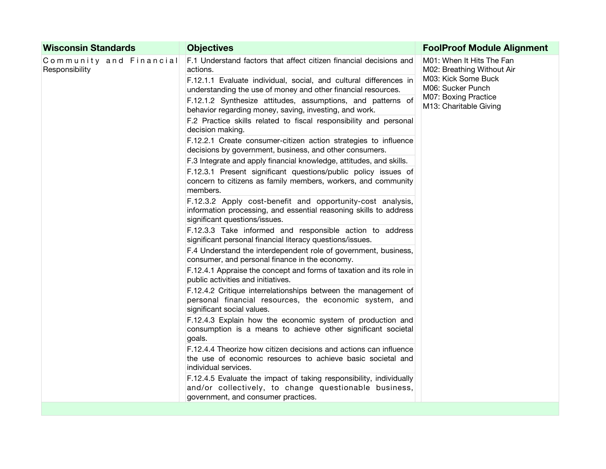| <b>Objectives</b>                                                                                                                                                   | <b>FoolProof Module Alignment</b>                                                                                                                     |
|---------------------------------------------------------------------------------------------------------------------------------------------------------------------|-------------------------------------------------------------------------------------------------------------------------------------------------------|
| F.1 Understand factors that affect citizen financial decisions and<br>actions.                                                                                      | M01: When It Hits The Fan<br>M02: Breathing Without Air<br>M03: Kick Some Buck<br>M06: Sucker Punch<br>M07: Boxing Practice<br>M13: Charitable Giving |
| F.12.1.1 Evaluate individual, social, and cultural differences in<br>understanding the use of money and other financial resources.                                  |                                                                                                                                                       |
| F.12.1.2 Synthesize attitudes, assumptions, and patterns of<br>behavior regarding money, saving, investing, and work.                                               |                                                                                                                                                       |
| F.2 Practice skills related to fiscal responsibility and personal<br>decision making.                                                                               |                                                                                                                                                       |
| F.12.2.1 Create consumer-citizen action strategies to influence<br>decisions by government, business, and other consumers.                                          |                                                                                                                                                       |
| F.3 Integrate and apply financial knowledge, attitudes, and skills.                                                                                                 |                                                                                                                                                       |
| F.12.3.1 Present significant questions/public policy issues of<br>concern to citizens as family members, workers, and community<br>members.                         |                                                                                                                                                       |
| F.12.3.2 Apply cost-benefit and opportunity-cost analysis,<br>information processing, and essential reasoning skills to address<br>significant questions/issues.    |                                                                                                                                                       |
| F.12.3.3 Take informed and responsible action to address<br>significant personal financial literacy questions/issues.                                               |                                                                                                                                                       |
| F.4 Understand the interdependent role of government, business,<br>consumer, and personal finance in the economy.                                                   |                                                                                                                                                       |
| F.12.4.1 Appraise the concept and forms of taxation and its role in<br>public activities and initiatives.                                                           |                                                                                                                                                       |
| F.12.4.2 Critique interrelationships between the management of<br>personal financial resources, the economic system, and<br>significant social values.              |                                                                                                                                                       |
| F.12.4.3 Explain how the economic system of production and<br>consumption is a means to achieve other significant societal<br>goals.                                |                                                                                                                                                       |
| F.12.4.4 Theorize how citizen decisions and actions can influence<br>the use of economic resources to achieve basic societal and<br>individual services.            |                                                                                                                                                       |
| F.12.4.5 Evaluate the impact of taking responsibility, individually<br>and/or collectively, to change questionable business,<br>government, and consumer practices. |                                                                                                                                                       |
|                                                                                                                                                                     | Community and Financial                                                                                                                               |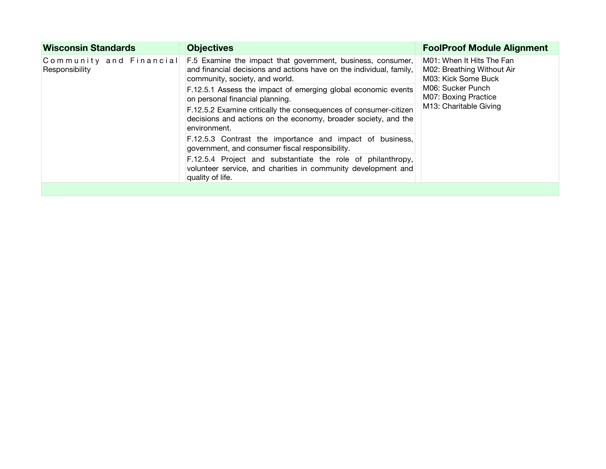| <b>Wisconsin Standards</b>                | <b>Objectives</b>                                                                                                                                                    | <b>FoolProof Module Alignment</b>                                                                                                                     |
|-------------------------------------------|----------------------------------------------------------------------------------------------------------------------------------------------------------------------|-------------------------------------------------------------------------------------------------------------------------------------------------------|
| Community and Financial<br>Responsibility | F.5 Examine the impact that government, business, consumer,<br>and financial decisions and actions have on the individual, family,<br>community, society, and world. | M01: When It Hits The Fan<br>M02: Breathing Without Air<br>M03: Kick Some Buck<br>M06: Sucker Punch<br>M07: Boxing Practice<br>M13: Charitable Giving |
|                                           | F.12.5.1 Assess the impact of emerging global economic events<br>on personal financial planning.                                                                     |                                                                                                                                                       |
|                                           | F.12.5.2 Examine critically the consequences of consumer-citizen<br>decisions and actions on the economy, broader society, and the<br>environment.                   |                                                                                                                                                       |
|                                           | F.12.5.3 Contrast the importance and impact of business,<br>government, and consumer fiscal responsibility.                                                          |                                                                                                                                                       |
|                                           | F.12.5.4 Project and substantiate the role of philanthropy,<br>volunteer service, and charities in community development and<br>quality of life.                     |                                                                                                                                                       |
|                                           |                                                                                                                                                                      |                                                                                                                                                       |